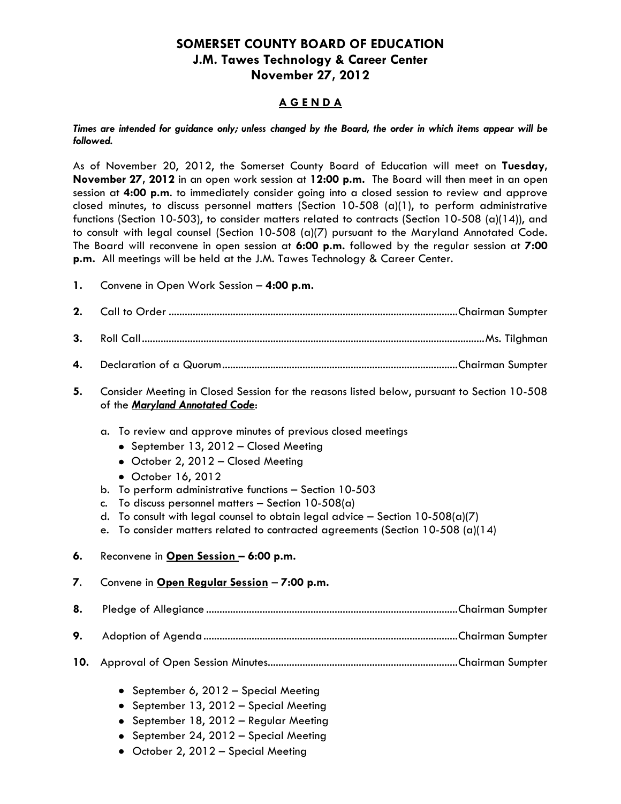## **SOMERSET COUNTY BOARD OF EDUCATION J.M. Tawes Technology & Career Center November 27, 2012**

## **A G E N D A**

*Times are intended for guidance only; unless changed by the Board, the order in which items appear will be followed.*

As of November 20, 2012, the Somerset County Board of Education will meet on **Tuesday, November 27, 2012** in an open work session at **12:00 p.m.** The Board will then meet in an open session at **4:00 p.m**. to immediately consider going into a closed session to review and approve closed minutes, to discuss personnel matters (Section 10-508 (a)(1), to perform administrative functions (Section 10-503), to consider matters related to contracts (Section 10-508 (a)(14)), and to consult with legal counsel (Section 10-508 (a)(7) pursuant to the Maryland Annotated Code. The Board will reconvene in open session at **6:00 p.m.** followed by the regular session at **7:00 p.m.** All meetings will be held at the J.M. Tawes Technology & Career Center.

**1.** Convene in Open Work Session – **4:00 p.m.**

• October 2, 2012 - Special Meeting

| 2.  |                                                                                                                                                                                                                                                                                                                                                                                                                                                                             |  |  |
|-----|-----------------------------------------------------------------------------------------------------------------------------------------------------------------------------------------------------------------------------------------------------------------------------------------------------------------------------------------------------------------------------------------------------------------------------------------------------------------------------|--|--|
| 3.  |                                                                                                                                                                                                                                                                                                                                                                                                                                                                             |  |  |
| 4.  |                                                                                                                                                                                                                                                                                                                                                                                                                                                                             |  |  |
| 5.  | Consider Meeting in Closed Session for the reasons listed below, pursuant to Section 10-508<br>of the Maryland Annotated Code:                                                                                                                                                                                                                                                                                                                                              |  |  |
|     | To review and approve minutes of previous closed meetings<br>a.<br>• September 13, 2012 - Closed Meeting<br>• October 2, 2012 - Closed Meeting<br>• October 16, 2012<br>To perform administrative functions - Section 10-503<br>b.<br>To discuss personnel matters - Section $10-508(a)$<br>c.<br>To consult with legal counsel to obtain legal advice - Section $10-508(a)(7)$<br>d.<br>To consider matters related to contracted agreements (Section 10-508 (a)(14)<br>e. |  |  |
| 6.  | Reconvene in Open Session - 6:00 p.m.                                                                                                                                                                                                                                                                                                                                                                                                                                       |  |  |
| 7.  | Convene in Open Regular Session - 7:00 p.m.                                                                                                                                                                                                                                                                                                                                                                                                                                 |  |  |
| 8.  |                                                                                                                                                                                                                                                                                                                                                                                                                                                                             |  |  |
| 9.  |                                                                                                                                                                                                                                                                                                                                                                                                                                                                             |  |  |
| 10. |                                                                                                                                                                                                                                                                                                                                                                                                                                                                             |  |  |
|     | • September 6, 2012 - Special Meeting<br>September 13, 2012 - Special Meeting<br>September 18, 2012 - Regular Meeting<br>• September 24, 2012 - Special Meeting                                                                                                                                                                                                                                                                                                             |  |  |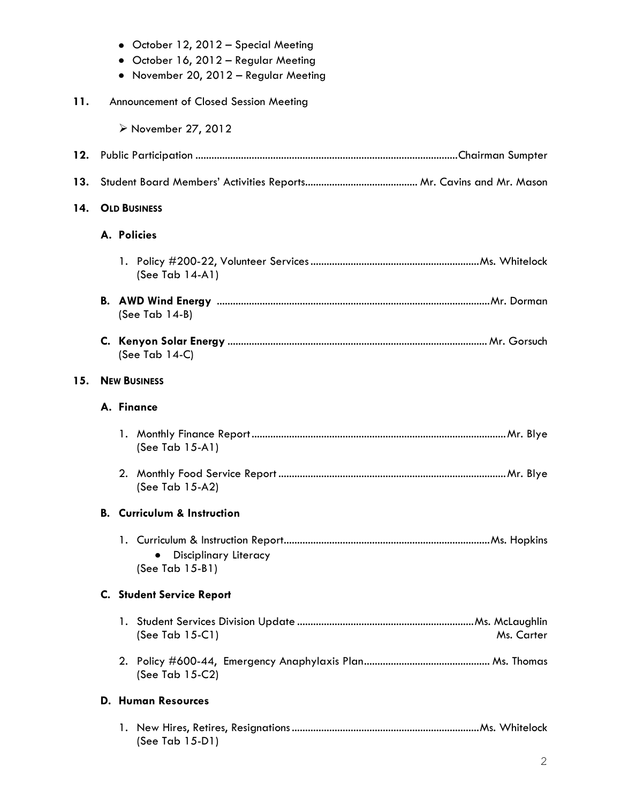|     |                     | • October 12, 2012 - Special Meeting<br>October 16, 2012 - Regular Meeting<br>• November 20, 2012 - Regular Meeting |  |
|-----|---------------------|---------------------------------------------------------------------------------------------------------------------|--|
| 11. |                     | Announcement of Closed Session Meeting                                                                              |  |
|     |                     | ≻ November 27, 2012                                                                                                 |  |
| 12. |                     |                                                                                                                     |  |
| 13. |                     |                                                                                                                     |  |
| 14. | <b>OLD BUSINESS</b> |                                                                                                                     |  |
|     |                     | A. Policies                                                                                                         |  |
|     |                     | (See Tab 14-A1)                                                                                                     |  |
|     |                     | (See Tab $14-B$ )                                                                                                   |  |
|     |                     | (See Tab $14-C$ )                                                                                                   |  |
| 15. |                     | <b>NEW BUSINESS</b>                                                                                                 |  |
|     |                     | A. Finance                                                                                                          |  |
|     |                     | (See Tab 15-A1)                                                                                                     |  |
|     |                     | (See Tab 15-A2)                                                                                                     |  |
|     | В.                  | <b>Curriculum &amp; Instruction</b>                                                                                 |  |
|     |                     | Disciplinary Literacy<br>(See Tab 15-B1)                                                                            |  |
|     |                     | <b>C.</b> Student Service Report                                                                                    |  |
|     |                     | (See Tab 15-C1)<br>Ms. Carter                                                                                       |  |
|     |                     | (See Tab 15-C2)                                                                                                     |  |
|     |                     | <b>D. Human Resources</b>                                                                                           |  |
|     |                     | (See Tab 15-D1)                                                                                                     |  |